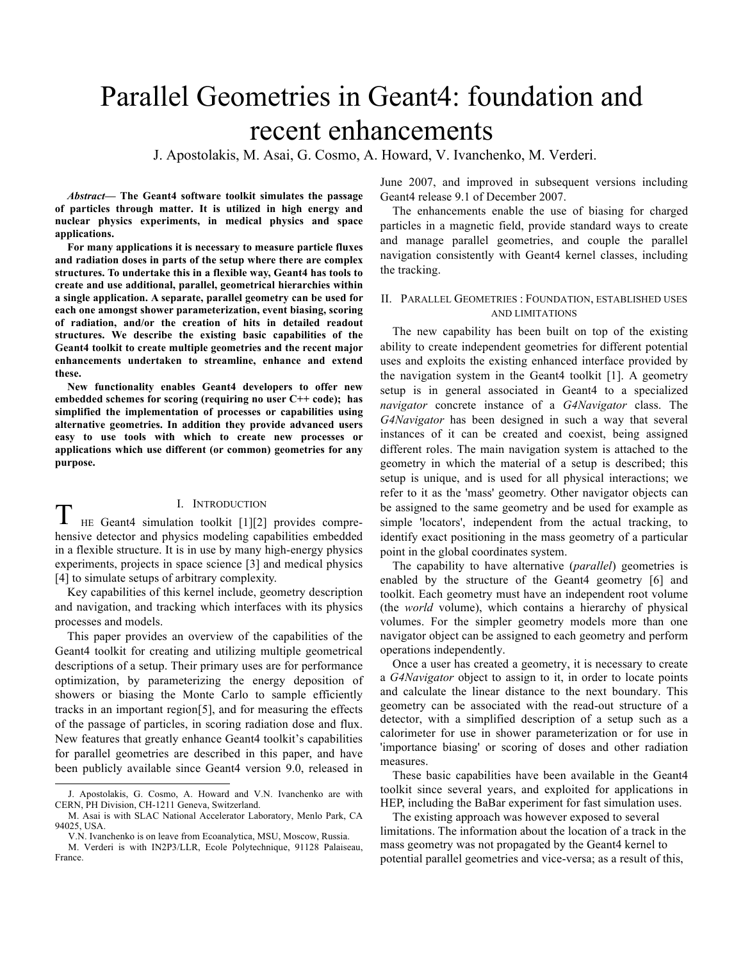# Parallel Geometries in Geant4: foundation and recent enhancements

J. Apostolakis, M. Asai, G. Cosmo, A. Howard, V. Ivanchenko, M. Verderi.

*Abstract***— The Geant4 software toolkit simulates the passage of particles through matter. It is utilized in high energy and nuclear physics experiments, in medical physics and space applications.** 

**For many applications it is necessary to measure particle fluxes and radiation doses in parts of the setup where there are complex structures. To undertake this in a flexible way, Geant4 has tools to create and use additional, parallel, geometrical hierarchies within a single application. A separate, parallel geometry can be used for each one amongst shower parameterization, event biasing, scoring of radiation, and/or the creation of hits in detailed readout structures. We describe the existing basic capabilities of the Geant4 toolkit to create multiple geometries and the recent major enhancements undertaken to streamline, enhance and extend these.** 

**New functionality enables Geant4 developers to offer new embedded schemes for scoring (requiring no user C++ code); has simplified the implementation of processes or capabilities using alternative geometries. In addition they provide advanced users easy to use tools with which to create new processes or applications which use different (or common) geometries for any purpose.**

# I. INTRODUCTION

T HE Geant4 simulation toolkit [1][2] provides comprehensive detector and physics modeling capabilities embedded in a flexible structure. It is in use by many high-energy physics experiments, projects in space science [3] and medical physics [4] to simulate setups of arbitrary complexity.

Key capabilities of this kernel include, geometry description and navigation, and tracking which interfaces with its physics processes and models.

This paper provides an overview of the capabilities of the Geant4 toolkit for creating and utilizing multiple geometrical descriptions of a setup. Their primary uses are for performance optimization, by parameterizing the energy deposition of showers or biasing the Monte Carlo to sample efficiently tracks in an important region[5], and for measuring the effects of the passage of particles, in scoring radiation dose and flux. New features that greatly enhance Geant4 toolkit's capabilities for parallel geometries are described in this paper, and have been publicly available since Geant4 version 9.0, released in June 2007, and improved in subsequent versions including Geant4 release 9.1 of December 2007.

The enhancements enable the use of biasing for charged particles in a magnetic field, provide standard ways to create and manage parallel geometries, and couple the parallel navigation consistently with Geant4 kernel classes, including the tracking.

## II. PARALLEL GEOMETRIES : FOUNDATION, ESTABLISHED USES AND LIMITATIONS

The new capability has been built on top of the existing ability to create independent geometries for different potential uses and exploits the existing enhanced interface provided by the navigation system in the Geant4 toolkit [1]. A geometry setup is in general associated in Geant4 to a specialized *navigator* concrete instance of a *G4Navigator* class. The *G4Navigator* has been designed in such a way that several instances of it can be created and coexist, being assigned different roles. The main navigation system is attached to the geometry in which the material of a setup is described; this setup is unique, and is used for all physical interactions; we refer to it as the 'mass' geometry. Other navigator objects can be assigned to the same geometry and be used for example as simple 'locators', independent from the actual tracking, to identify exact positioning in the mass geometry of a particular point in the global coordinates system.

The capability to have alternative (*parallel*) geometries is enabled by the structure of the Geant4 geometry [6] and toolkit. Each geometry must have an independent root volume (the *world* volume), which contains a hierarchy of physical volumes. For the simpler geometry models more than one navigator object can be assigned to each geometry and perform operations independently.

Once a user has created a geometry, it is necessary to create a *G4Navigator* object to assign to it, in order to locate points and calculate the linear distance to the next boundary. This geometry can be associated with the read-out structure of a detector, with a simplified description of a setup such as a calorimeter for use in shower parameterization or for use in 'importance biasing' or scoring of doses and other radiation measures.

These basic capabilities have been available in the Geant4 toolkit since several years, and exploited for applications in HEP, including the BaBar experiment for fast simulation uses.

The existing approach was however exposed to several limitations. The information about the location of a track in the mass geometry was not propagated by the Geant4 kernel to potential parallel geometries and vice-versa; as a result of this,

J. Apostolakis, G. Cosmo, A. Howard and V.N. Ivanchenko are with CERN, PH Division, CH-1211 Geneva, Switzerland.

M. Asai is with SLAC National Accelerator Laboratory, Menlo Park, CA 94025, USA.

V.N. Ivanchenko is on leave from Ecoanalytica, MSU, Moscow, Russia. M. Verderi is with IN2P3/LLR, Ecole Polytechnique, 91128 Palaiseau, France.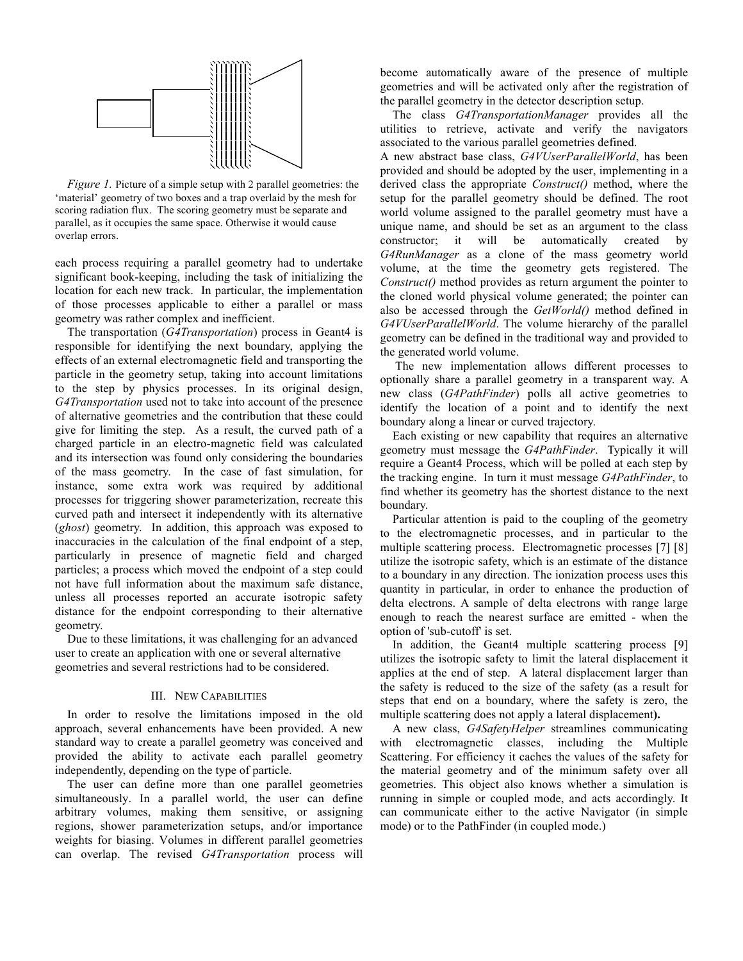

*Figure 1.* Picture of a simple setup with 2 parallel geometries: the 'material' geometry of two boxes and a trap overlaid by the mesh for scoring radiation flux. The scoring geometry must be separate and parallel, as it occupies the same space. Otherwise it would cause overlap errors.

each process requiring a parallel geometry had to undertake significant book-keeping, including the task of initializing the location for each new track. In particular, the implementation of those processes applicable to either a parallel or mass geometry was rather complex and inefficient.

The transportation (*G4Transportation*) process in Geant4 is responsible for identifying the next boundary, applying the effects of an external electromagnetic field and transporting the particle in the geometry setup, taking into account limitations to the step by physics processes. In its original design, *G4Transportation* used not to take into account of the presence of alternative geometries and the contribution that these could give for limiting the step. As a result, the curved path of a charged particle in an electro-magnetic field was calculated and its intersection was found only considering the boundaries of the mass geometry. In the case of fast simulation, for instance, some extra work was required by additional processes for triggering shower parameterization, recreate this curved path and intersect it independently with its alternative (*ghost*) geometry. In addition, this approach was exposed to inaccuracies in the calculation of the final endpoint of a step, particularly in presence of magnetic field and charged particles; a process which moved the endpoint of a step could not have full information about the maximum safe distance, unless all processes reported an accurate isotropic safety distance for the endpoint corresponding to their alternative geometry.

Due to these limitations, it was challenging for an advanced user to create an application with one or several alternative geometries and several restrictions had to be considered.

## III. NEW CAPABILITIES

In order to resolve the limitations imposed in the old approach, several enhancements have been provided. A new standard way to create a parallel geometry was conceived and provided the ability to activate each parallel geometry independently, depending on the type of particle.

The user can define more than one parallel geometries simultaneously. In a parallel world, the user can define arbitrary volumes, making them sensitive, or assigning regions, shower parameterization setups, and/or importance weights for biasing. Volumes in different parallel geometries can overlap. The revised *G4Transportation* process will become automatically aware of the presence of multiple geometries and will be activated only after the registration of the parallel geometry in the detector description setup.

The class *G4TransportationManager* provides all the utilities to retrieve, activate and verify the navigators associated to the various parallel geometries defined.

A new abstract base class, *G4VUserParallelWorld*, has been provided and should be adopted by the user, implementing in a derived class the appropriate *Construct()* method, where the setup for the parallel geometry should be defined. The root world volume assigned to the parallel geometry must have a unique name, and should be set as an argument to the class constructor; it will be automatically created by *G4RunManager* as a clone of the mass geometry world volume, at the time the geometry gets registered. The *Construct()* method provides as return argument the pointer to the cloned world physical volume generated; the pointer can also be accessed through the *GetWorld()* method defined in *G4VUserParallelWorld*. The volume hierarchy of the parallel geometry can be defined in the traditional way and provided to the generated world volume.

The new implementation allows different processes to optionally share a parallel geometry in a transparent way. A new class (*G4PathFinder*) polls all active geometries to identify the location of a point and to identify the next boundary along a linear or curved trajectory.

Each existing or new capability that requires an alternative geometry must message the *G4PathFinder*. Typically it will require a Geant4 Process, which will be polled at each step by the tracking engine. In turn it must message *G4PathFinder*, to find whether its geometry has the shortest distance to the next boundary.

Particular attention is paid to the coupling of the geometry to the electromagnetic processes, and in particular to the multiple scattering process. Electromagnetic processes [7] [8] utilize the isotropic safety, which is an estimate of the distance to a boundary in any direction. The ionization process uses this quantity in particular, in order to enhance the production of delta electrons. A sample of delta electrons with range large enough to reach the nearest surface are emitted - when the option of 'sub-cutoff' is set.

In addition, the Geant4 multiple scattering process [9] utilizes the isotropic safety to limit the lateral displacement it applies at the end of step. A lateral displacement larger than the safety is reduced to the size of the safety (as a result for steps that end on a boundary, where the safety is zero, the multiple scattering does not apply a lateral displacement**).**

A new class, *G4SafetyHelper* streamlines communicating with electromagnetic classes, including the Multiple Scattering. For efficiency it caches the values of the safety for the material geometry and of the minimum safety over all geometries. This object also knows whether a simulation is running in simple or coupled mode, and acts accordingly. It can communicate either to the active Navigator (in simple mode) or to the PathFinder (in coupled mode.)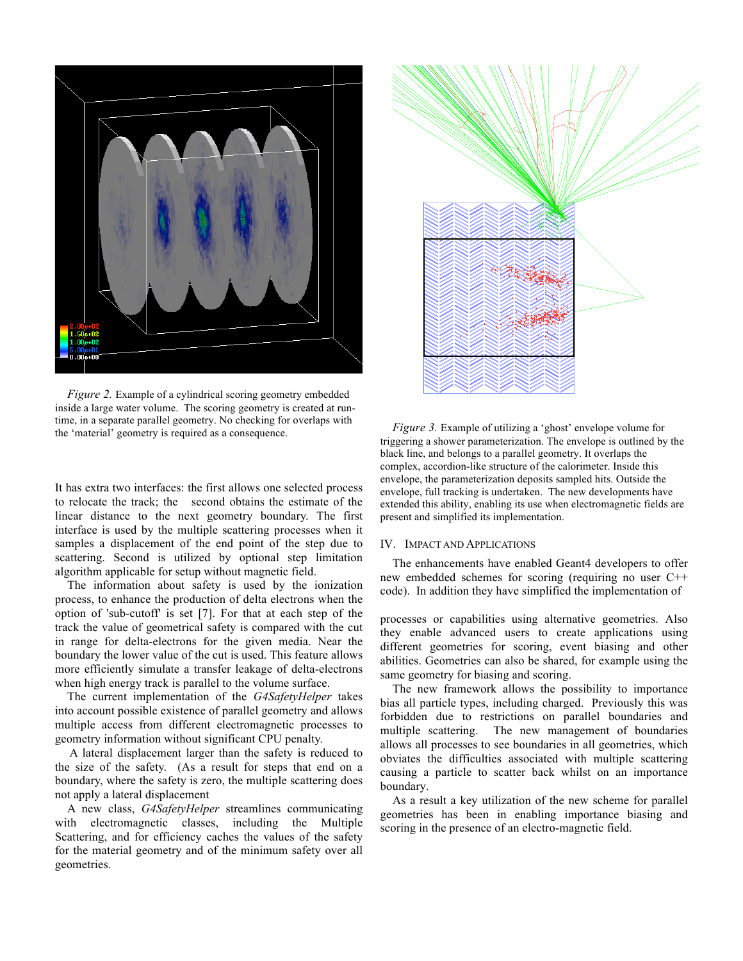

*Figure 2.* Example of a cylindrical scoring geometry embedded inside a large water volume. The scoring geometry is created at runtime, in a separate parallel geometry. No checking for overlaps with the 'material' geometry is required as a consequence.

It has extra two interfaces: the first allows one selected process to relocate the track; the second obtains the estimate of the linear distance to the next geometry boundary. The first interface is used by the multiple scattering processes when it samples a displacement of the end point of the step due to scattering. Second is utilized by optional step limitation algorithm applicable for setup without magnetic field.

The information about safety is used by the ionization process, to enhance the production of delta electrons when the option of 'sub-cutoff' is set [7]. For that at each step of the track the value of geometrical safety is compared with the cut in range for delta-electrons for the given media. Near the boundary the lower value of the cut is used. This feature allows more efficiently simulate a transfer leakage of delta-electrons when high energy track is parallel to the volume surface.

The current implementation of the *G4SafetyHelper* takes into account possible existence of parallel geometry and allows multiple access from different electromagnetic processes to geometry information without significant CPU penalty.

 A lateral displacement larger than the safety is reduced to the size of the safety. (As a result for steps that end on a boundary, where the safety is zero, the multiple scattering does not apply a lateral displacement

A new class, *G4SafetyHelper* streamlines communicating with electromagnetic classes, including the Multiple Scattering, and for efficiency caches the values of the safety for the material geometry and of the minimum safety over all geometries.



*Figure 3.* Example of utilizing a 'ghost' envelope volume for triggering a shower parameterization. The envelope is outlined by the black line, and belongs to a parallel geometry. It overlaps the complex, accordion-like structure of the calorimeter. Inside this envelope, the parameterization deposits sampled hits. Outside the envelope, full tracking is undertaken. The new developments have extended this ability, enabling its use when electromagnetic fields are present and simplified its implementation.

#### IV. IMPACT AND APPLICATIONS

The enhancements have enabled Geant4 developers to offer new embedded schemes for scoring (requiring no user C++ code). In addition they have simplified the implementation of

processes or capabilities using alternative geometries. Also they enable advanced users to create applications using different geometries for scoring, event biasing and other abilities. Geometries can also be shared, for example using the same geometry for biasing and scoring.

The new framework allows the possibility to importance bias all particle types, including charged. Previously this was forbidden due to restrictions on parallel boundaries and multiple scattering. The new management of boundaries allows all processes to see boundaries in all geometries, which obviates the difficulties associated with multiple scattering causing a particle to scatter back whilst on an importance boundary.

As a result a key utilization of the new scheme for parallel geometries has been in enabling importance biasing and scoring in the presence of an electro-magnetic field.